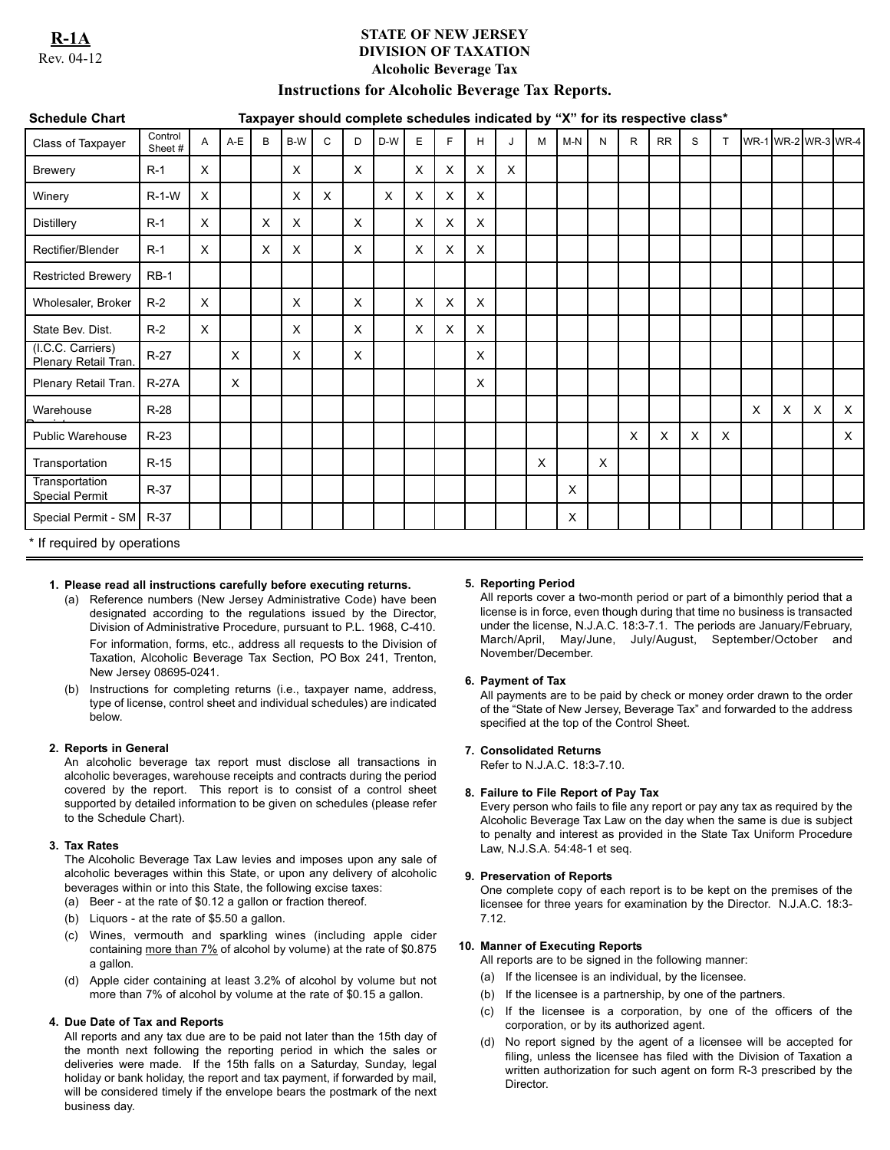**R-1A** Rev. 04-12

# **STATE OF NEW JERSEY DIVISION OF TAXATION Alcoholic Beverage Tax**

# **Instructions for Alcoholic Beverage Tax Reports.**

| <b>Schedule Chart</b>                     |                    | Taxpayer should complete schedules indicated by "X" for its respective class* |          |   |          |          |          |     |          |          |          |          |          |       |   |              |           |          |          |          |          |   |                     |
|-------------------------------------------|--------------------|-------------------------------------------------------------------------------|----------|---|----------|----------|----------|-----|----------|----------|----------|----------|----------|-------|---|--------------|-----------|----------|----------|----------|----------|---|---------------------|
| Class of Taxpayer                         | Control<br>Sheet # | $\mathsf{A}$                                                                  | $A-E$    | B | B-W      | C        | D        | D-W | E        | F        | H        | J        | M        | $M-N$ | N | $\mathsf{R}$ | <b>RR</b> | S        | T.       |          |          |   | WR-1 WR-2 WR-3 WR-4 |
| <b>Brewery</b>                            | $R-1$              | $\times$                                                                      |          |   | $\times$ |          | $\times$ |     | $\times$ | $\times$ | $\times$ | $\times$ |          |       |   |              |           |          |          |          |          |   |                     |
| Winery                                    | $R-1-W$            | $\mathsf{X}$                                                                  |          |   | X        | $\times$ |          | X   | X        | $\times$ | $\times$ |          |          |       |   |              |           |          |          |          |          |   |                     |
| <b>Distillery</b>                         | $R-1$              | $\times$                                                                      |          | X | $\times$ |          | $\times$ |     | $\times$ | $\times$ | X        |          |          |       |   |              |           |          |          |          |          |   |                     |
| Rectifier/Blender                         | $R-1$              | $\times$                                                                      |          | X | $\times$ |          | X        |     | $\times$ | $\times$ | X        |          |          |       |   |              |           |          |          |          |          |   |                     |
| <b>Restricted Brewery</b>                 | $RB-1$             |                                                                               |          |   |          |          |          |     |          |          |          |          |          |       |   |              |           |          |          |          |          |   |                     |
| Wholesaler, Broker                        | $R-2$              | $\times$                                                                      |          |   | $\times$ |          | $\times$ |     | X        | X        | X        |          |          |       |   |              |           |          |          |          |          |   |                     |
| State Bev. Dist.                          | $R-2$              | $\times$                                                                      |          |   | $\times$ |          | $\times$ |     | $\times$ | $\times$ | $\times$ |          |          |       |   |              |           |          |          |          |          |   |                     |
| (I.C.C. Carriers)<br>Plenary Retail Tran. | $R-27$             |                                                                               | X        |   | $\times$ |          | X        |     |          |          | X        |          |          |       |   |              |           |          |          |          |          |   |                     |
| Plenary Retail Tran.                      | <b>R-27A</b>       |                                                                               | $\times$ |   |          |          |          |     |          |          | X        |          |          |       |   |              |           |          |          |          |          |   |                     |
| Warehouse                                 | $R-28$             |                                                                               |          |   |          |          |          |     |          |          |          |          |          |       |   |              |           |          |          | $\times$ | $\times$ | X | $\times$            |
| <b>Public Warehouse</b>                   | $R-23$             |                                                                               |          |   |          |          |          |     |          |          |          |          |          |       |   | X            | X         | $\times$ | $\times$ |          |          |   | $\times$            |
| Transportation                            | $R-15$             |                                                                               |          |   |          |          |          |     |          |          |          |          | $\times$ |       | X |              |           |          |          |          |          |   |                     |
| Transportation<br><b>Special Permit</b>   | R-37               |                                                                               |          |   |          |          |          |     |          |          |          |          |          | X     |   |              |           |          |          |          |          |   |                     |
| Special Permit - SM                       | $R-37$             |                                                                               |          |   |          |          |          |     |          |          |          |          |          | X     |   |              |           |          |          |          |          |   |                     |

\* If required by operations

## **1. Please read all instructions carefully before executing returns.**

- (a) Reference numbers (New Jersey Administrative Code) have been designated according to the regulations issued by the Director, Division of Administrative Procedure, pursuant to P.L. 1968, C-410. For information, forms, etc., address all requests to the Division of Taxation, Alcoholic Beverage Tax Section, PO Box 241, Trenton, New Jersey 08695-0241.
- (b) Instructions for completing returns (i.e., taxpayer name, address, type of license, control sheet and individual schedules) are indicated below.

## **2. Reports in General**

An alcoholic beverage tax report must disclose all transactions in alcoholic beverages, warehouse receipts and contracts during the period covered by the report. This report is to consist of a control sheet supported by detailed information to be given on schedules (please refer to the Schedule Chart).

## **3. Tax Rates**

The Alcoholic Beverage Tax Law levies and imposes upon any sale of alcoholic beverages within this State, or upon any delivery of alcoholic beverages within or into this State, the following excise taxes:

- (a) Beer at the rate of \$0.12 a gallon or fraction thereof.
- (b) Liquors at the rate of \$5.50 a gallon.
- (c) Wines, vermouth and sparkling wines (including apple cider containing more than 7% of alcohol by volume) at the rate of \$0.875 a gallon.
- (d) Apple cider containing at least 3.2% of alcohol by volume but not more than 7% of alcohol by volume at the rate of \$0.15 a gallon.

## **4. Due Date of Tax and Reports**

All reports and any tax due are to be paid not later than the 15th day of the month next following the reporting period in which the sales or deliveries were made. If the 15th falls on a Saturday, Sunday, legal holiday or bank holiday, the report and tax payment, if forwarded by mail, will be considered timely if the envelope bears the postmark of the next business day.

## **5. Reporting Period**

All reports cover a two-month period or part of a bimonthly period that a license is in force, even though during that time no business is transacted under the license, N.J.A.C. 18:3-7.1. The periods are January/February, March/April, May/June, July/August, September/October and November/December.

## **6. Payment of Tax**

All payments are to be paid by check or money order drawn to the order of the "State of New Jersey, Beverage Tax" and forwarded to the address specified at the top of the Control Sheet.

## **7. Consolidated Returns**

Refer to N.J.A.C. 18:3-7.10.

## **8. Failure to File Report of Pay Tax**

Every person who fails to file any report or pay any tax as required by the Alcoholic Beverage Tax Law on the day when the same is due is subject to penalty and interest as provided in the State Tax Uniform Procedure Law, N.J.S.A. 54:48-1 et seq.

## **9. Preservation of Reports**

One complete copy of each report is to be kept on the premises of the licensee for three years for examination by the Director. N.J.A.C. 18:3- 7.12.

## **10. Manner of Executing Reports**

- All reports are to be signed in the following manner:
- (a) If the licensee is an individual, by the licensee.
- (b) If the licensee is a partnership, by one of the partners.
- (c) If the licensee is a corporation, by one of the officers of the corporation, or by its authorized agent.
- (d) No report signed by the agent of a licensee will be accepted for filing, unless the licensee has filed with the Division of Taxation a written authorization for such agent on form R-3 prescribed by the Director.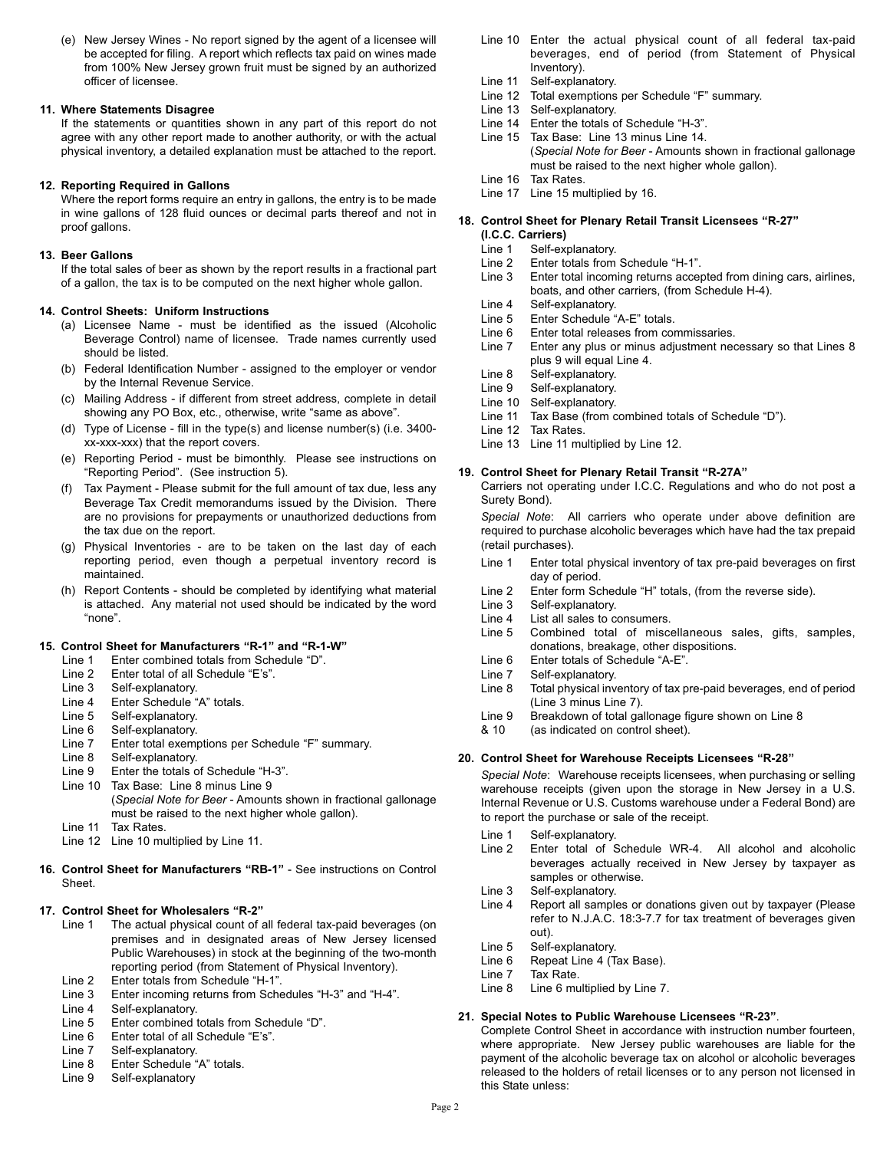(e) New Jersey Wines - No report signed by the agent of a licensee will be accepted for filing. A report which reflects tax paid on wines made from 100% New Jersey grown fruit must be signed by an authorized officer of licensee.

## **11. Where Statements Disagree**

If the statements or quantities shown in any part of this report do not agree with any other report made to another authority, or with the actual physical inventory, a detailed explanation must be attached to the report.

#### **12. Reporting Required in Gallons**

Where the report forms require an entry in gallons, the entry is to be made in wine gallons of 128 fluid ounces or decimal parts thereof and not in proof gallons.

#### **13. Beer Gallons**

If the total sales of beer as shown by the report results in a fractional part of a gallon, the tax is to be computed on the next higher whole gallon.

## **14. Control Sheets: Uniform Instructions**

- (a) Licensee Name must be identified as the issued (Alcoholic Beverage Control) name of licensee. Trade names currently used should be listed.
- (b) Federal Identification Number assigned to the employer or vendor by the Internal Revenue Service.
- (c) Mailing Address if different from street address, complete in detail showing any PO Box, etc., otherwise, write "same as above".
- (d) Type of License fill in the type(s) and license number(s) (i.e. 3400 xx-xxx-xxx) that the report covers.
- (e) Reporting Period must be bimonthly. Please see instructions on "Reporting Period". (See instruction 5).
- (f) Tax Payment Please submit for the full amount of tax due, less any Beverage Tax Credit memorandums issued by the Division. There are no provisions for prepayments or unauthorized deductions from the tax due on the report.
- (g) Physical Inventories are to be taken on the last day of each reporting period, even though a perpetual inventory record is maintained.
- Report Contents should be completed by identifying what material is attached. Any material not used should be indicated by the word "none".

## **15. Control Sheet for Manufacturers "R-1" and "R-1-W"**

- Line 1 Enter combined totals from Schedule "D".
- Line 2 Enter total of all Schedule "E's".
- 
- Line 3 Self-explanatory.<br>Line 4 Enter Schedule " Enter Schedule "A" totals.
- Line 5 Self-explanatory.
- Line 6 Self-explanatory.
- Line 7 Enter total exemptions per Schedule "F" summary.
- Line 8 Self-explanatory.<br>Line 9 Enter the totals of
- Enter the totals of Schedule "H-3".
- Line 10 Tax Base: Line 8 minus Line 9 (*Special Note for Beer* - Amounts shown in fractional gallonage must be raised to the next higher whole gallon).
- Line 11 Tax Rates.
- Line 12 Line 10 multiplied by Line 11.
- **16. Control Sheet for Manufacturers "RB-1"**  See instructions on Control Sheet.

## **17. Control Sheet for Wholesalers "R-2"**

- Line 1 The actual physical count of all federal tax-paid beverages (on premises and in designated areas of New Jersey licensed Public Warehouses) in stock at the beginning of the two-month reporting period (from Statement of Physical Inventory).
- Line 2 Enter totals from Schedule "H-1".
- Line 3 Enter incoming returns from Schedules "H-3" and "H-4".
- Line 4 Self-explanatory.
- Line 5 Enter combined totals from Schedule "D".<br>Line 6 Enter total of all Schedule "E's".
- Enter total of all Schedule "E's".
- Line 7 Self-explanatory.
- Line 8 Enter Schedule "A" totals.
- Line 9 Self-explanatory
- Line 10 Enter the actual physical count of all federal tax-paid beverages, end of period (from Statement of Physical Inventory).
- Line 11 Self-explanatory.
- Line 12 Total exemptions per Schedule "F" summary.
- Line 13 Self-explanatory.
- Line 14 Enter the totals of Schedule "H-3".
- Line 15 Tax Base: Line 13 minus Line 14. (*Special Note for Beer* - Amounts shown in fractional gallonage must be raised to the next higher whole gallon).
- Line 16 Tax Rates.
- Line 17 Line 15 multiplied by 16.

#### **18. Control Sheet for Plenary Retail Transit Licensees "R-27"**

- **(I.C.C. Carriers)**
- Line 1 Self-explanatory.
- Line 2 Enter totals from Schedule "H-1".
- Line 3 Enter total incoming returns accepted from dining cars, airlines, boats, and other carriers, (from Schedule H-4).
- Line 4 Self-explanatory.<br>Line 5 Enter Schedule ". Enter Schedule "A-E" totals.
- Line 6 Enter total releases from commissaries.
- Line 7 Enter any plus or minus adjustment necessary so that Lines 8 plus 9 will equal Line 4.
- Line 8 Self-explanatory.<br>Line 9 Self-explanatory.
- Self-explanatory.
- Line 10 Self-explanatory.
- Line 11 Tax Base (from combined totals of Schedule "D").
- Line 12 Tax Rates. Line 13 Line 11 multiplied by Line 12.
- **19. Control Sheet for Plenary Retail Transit "R-27A"**

Carriers not operating under I.C.C. Regulations and who do not post a Surety Bond).

*Special Note*: All carriers who operate under above definition are required to purchase alcoholic beverages which have had the tax prepaid (retail purchases).

- Line 1 Enter total physical inventory of tax pre-paid beverages on first day of period.
- Line 2 Enter form Schedule "H" totals, (from the reverse side).
- Line 3 Self-explanatory.
- Line 4 List all sales to consumers.
- Line 5 Combined total of miscellaneous sales, gifts, samples, donations, breakage, other dispositions.
- Line 6 Enter totals of Schedule "A-E".
- Line 7 Self-explanatory.
- Line 8 Total physical inventory of tax pre-paid beverages, end of period (Line 3 minus Line 7).
- Line 9 Breakdown of total gallonage figure shown on Line 8
- & 10 (as indicated on control sheet).

## **20. Control Sheet for Warehouse Receipts Licensees "R-28"**

*Special Note*: Warehouse receipts licensees, when purchasing or selling warehouse receipts (given upon the storage in New Jersey in a U.S. Internal Revenue or U.S. Customs warehouse under a Federal Bond) are to report the purchase or sale of the receipt.

- Line 1 Self-explanatory.<br>Line 2 Enter total of 9
- Enter total of Schedule WR-4. All alcohol and alcoholic beverages actually received in New Jersey by taxpayer as samples or otherwise.
- Line 3 Self-explanatory.
- Line 4 Report all samples or donations given out by taxpayer (Please refer to N.J.A.C. 18:3-7.7 for tax treatment of beverages given out).
- Line 5 Self-explanatory.
- Line 6 Repeat Line 4 (Tax Base).<br>Line 7 Tax Rate.
- Line 7 Tax Rate.<br>Line 8 Line 6 mu
- Line 6 multiplied by Line 7.

## **21. Special Notes to Public Warehouse Licensees "R-23"**.

Complete Control Sheet in accordance with instruction number fourteen, where appropriate. New Jersey public warehouses are liable for the payment of the alcoholic beverage tax on alcohol or alcoholic beverages released to the holders of retail licenses or to any person not licensed in this State unless: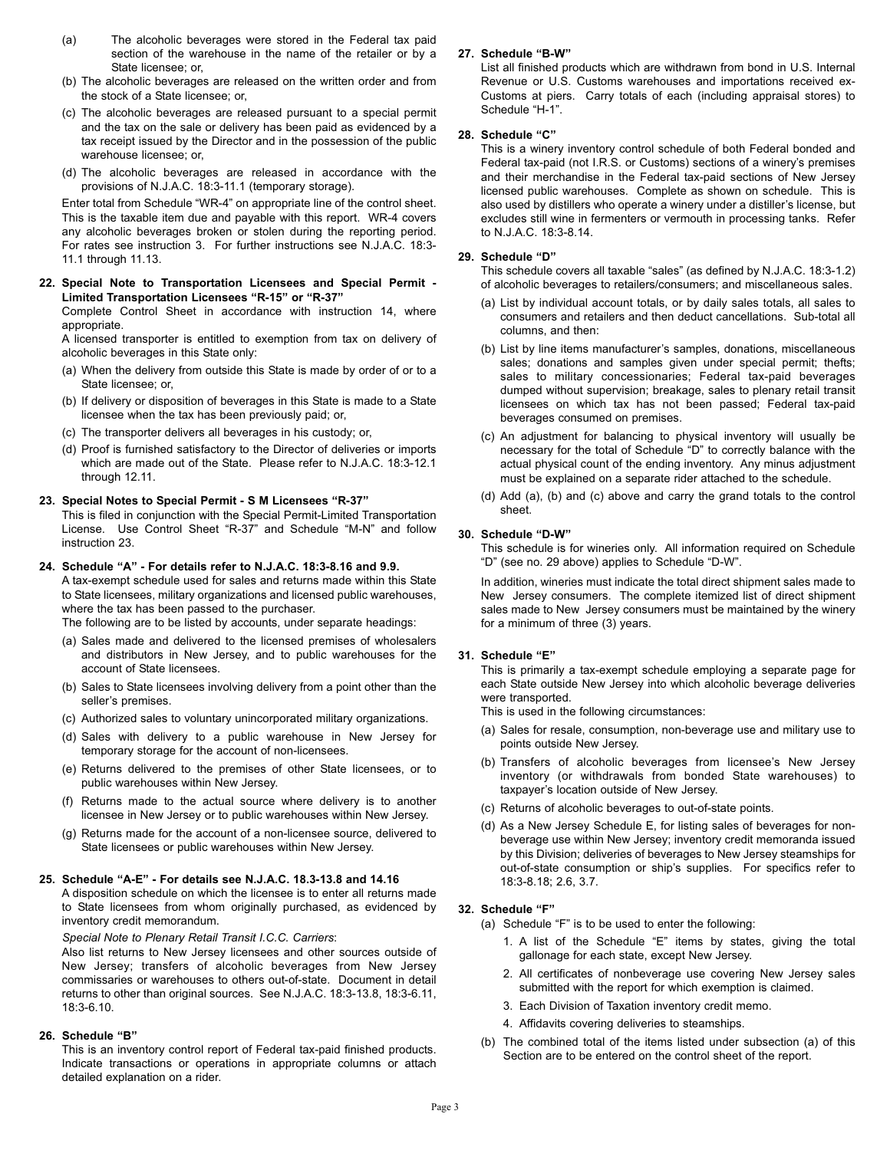- (a) The alcoholic beverages were stored in the Federal tax paid section of the warehouse in the name of the retailer or by a State licensee; or,
- (b) The alcoholic beverages are released on the written order and from the stock of a State licensee; or,
- (c) The alcoholic beverages are released pursuant to a special permit and the tax on the sale or delivery has been paid as evidenced by a tax receipt issued by the Director and in the possession of the public warehouse licensee; or,
- (d) The alcoholic beverages are released in accordance with the provisions of N.J.A.C. 18:3-11.1 (temporary storage).

Enter total from Schedule "WR-4" on appropriate line of the control sheet. This is the taxable item due and payable with this report. WR-4 covers any alcoholic beverages broken or stolen during the reporting period. For rates see instruction 3. For further instructions see N.J.A.C. 18:3- 11.1 through 11.13.

**22. Special Note to Transportation Licensees and Special Permit - Limited Transportation Licensees "R-15" or "R-37"**

Complete Control Sheet in accordance with instruction 14, where appropriate.

A licensed transporter is entitled to exemption from tax on delivery of alcoholic beverages in this State only:

- (a) When the delivery from outside this State is made by order of or to a State licensee; or,
- (b) If delivery or disposition of beverages in this State is made to a State licensee when the tax has been previously paid; or,
- (c) The transporter delivers all beverages in his custody; or,
- (d) Proof is furnished satisfactory to the Director of deliveries or imports which are made out of the State. Please refer to N.J.A.C. 18:3-12.1 through 12.11.

#### **23. Special Notes to Special Permit - S M Licensees "R-37"**

This is filed in conjunction with the Special Permit-Limited Transportation License. Use Control Sheet "R-37" and Schedule "M-N" and follow instruction 23.

#### **24. Schedule "A" - For details refer to N.J.A.C. 18:3-8.16 and 9.9.**

A tax-exempt schedule used for sales and returns made within this State to State licensees, military organizations and licensed public warehouses, where the tax has been passed to the purchaser.

The following are to be listed by accounts, under separate headings:

- (a) Sales made and delivered to the licensed premises of wholesalers and distributors in New Jersey, and to public warehouses for the account of State licensees.
- (b) Sales to State licensees involving delivery from a point other than the seller's premises.
- (c) Authorized sales to voluntary unincorporated military organizations.
- (d) Sales with delivery to a public warehouse in New Jersey for temporary storage for the account of non-licensees.
- (e) Returns delivered to the premises of other State licensees, or to public warehouses within New Jersey.
- (f) Returns made to the actual source where delivery is to another licensee in New Jersey or to public warehouses within New Jersey.
- (g) Returns made for the account of a non-licensee source, delivered to State licensees or public warehouses within New Jersey.

#### **25. Schedule "A-E" - For details see N.J.A.C. 18.3-13.8 and 14.16**

A disposition schedule on which the licensee is to enter all returns made to State licensees from whom originally purchased, as evidenced by inventory credit memorandum.

*Special Note to Plenary Retail Transit I.C.C. Carriers*:

Also list returns to New Jersey licensees and other sources outside of New Jersey; transfers of alcoholic beverages from New Jersey commissaries or warehouses to others out-of-state. Document in detail returns to other than original sources. See N.J.A.C. 18:3-13.8, 18:3-6.11, 18:3-6.10.

#### **26. Schedule "B"**

This is an inventory control report of Federal tax-paid finished products. Indicate transactions or operations in appropriate columns or attach detailed explanation on a rider.

#### **27. Schedule "B-W"**

List all finished products which are withdrawn from bond in U.S. Internal Revenue or U.S. Customs warehouses and importations received ex-Customs at piers. Carry totals of each (including appraisal stores) to Schedule "H-1".

#### **28. Schedule "C"**

This is a winery inventory control schedule of both Federal bonded and Federal tax-paid (not I.R.S. or Customs) sections of a winery's premises and their merchandise in the Federal tax-paid sections of New Jersey licensed public warehouses. Complete as shown on schedule. This is also used by distillers who operate a winery under a distiller's license, but excludes still wine in fermenters or vermouth in processing tanks. Refer to N.J.A.C. 18:3-8.14.

### **29. Schedule "D"**

This schedule covers all taxable "sales" (as defined by N.J.A.C. 18:3-1.2) of alcoholic beverages to retailers/consumers; and miscellaneous sales.

- (a) List by individual account totals, or by daily sales totals, all sales to consumers and retailers and then deduct cancellations. Sub-total all columns, and then:
- (b) List by line items manufacturer's samples, donations, miscellaneous sales; donations and samples given under special permit; thefts; sales to military concessionaries; Federal tax-paid beverages dumped without supervision; breakage, sales to plenary retail transit licensees on which tax has not been passed; Federal tax-paid beverages consumed on premises.
- (c) An adjustment for balancing to physical inventory will usually be necessary for the total of Schedule "D" to correctly balance with the actual physical count of the ending inventory. Any minus adjustment must be explained on a separate rider attached to the schedule.
- (d) Add (a), (b) and (c) above and carry the grand totals to the control sheet.

## **30. Schedule "D-W"**

This schedule is for wineries only. All information required on Schedule "D" (see no. 29 above) applies to Schedule "D-W".

In addition, wineries must indicate the total direct shipment sales made to New Jersey consumers. The complete itemized list of direct shipment sales made to New Jersey consumers must be maintained by the winery for a minimum of three (3) years.

#### **31. Schedule "E"**

This is primarily a tax-exempt schedule employing a separate page for each State outside New Jersey into which alcoholic beverage deliveries were transported.

This is used in the following circumstances:

- (a) Sales for resale, consumption, non-beverage use and military use to points outside New Jersey.
- (b) Transfers of alcoholic beverages from licensee's New Jersey inventory (or withdrawals from bonded State warehouses) to taxpayer's location outside of New Jersey.
- (c) Returns of alcoholic beverages to out-of-state points.
- (d) As a New Jersey Schedule E, for listing sales of beverages for nonbeverage use within New Jersey; inventory credit memoranda issued by this Division; deliveries of beverages to New Jersey steamships for out-of-state consumption or ship's supplies. For specifics refer to 18:3-8.18; 2.6, 3.7.

#### **32. Schedule "F"**

- (a) Schedule "F" is to be used to enter the following:
	- 1. A list of the Schedule "E" items by states, giving the total gallonage for each state, except New Jersey.
	- 2. All certificates of nonbeverage use covering New Jersey sales submitted with the report for which exemption is claimed.
	- 3. Each Division of Taxation inventory credit memo.
	- 4. Affidavits covering deliveries to steamships.
- (b) The combined total of the items listed under subsection (a) of this Section are to be entered on the control sheet of the report.